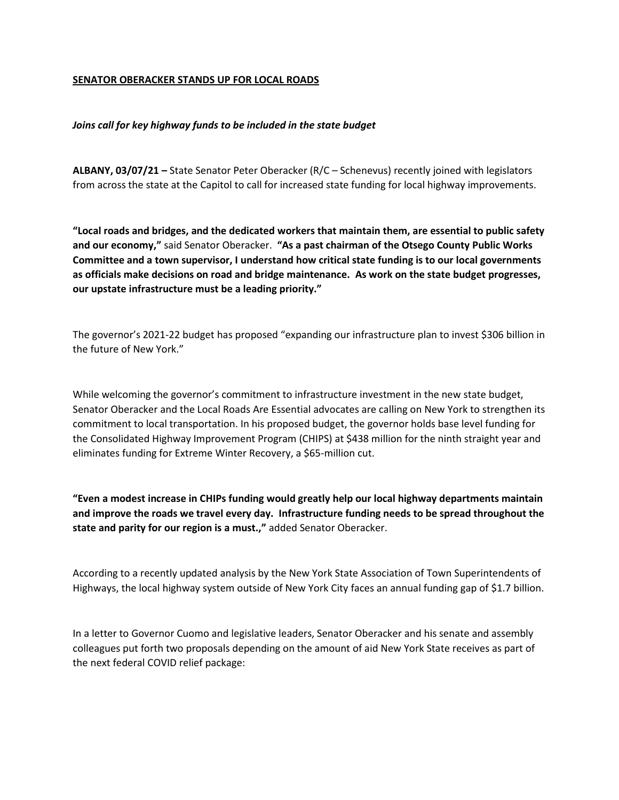## **SENATOR OBERACKER STANDS UP FOR LOCAL ROADS**

## *Joins call for key highway funds to be included in the state budget*

**ALBANY, 03/07/21 –** State Senator Peter Oberacker (R/C – Schenevus) recently joined with legislators from across the state at the Capitol to call for increased state funding for local highway improvements.

**"Local roads and bridges, and the dedicated workers that maintain them, are essential to public safety and our economy,"** said Senator Oberacker. **"As a past chairman of the Otsego County Public Works Committee and a town supervisor, I understand how critical state funding is to our local governments as officials make decisions on road and bridge maintenance. As work on the state budget progresses, our upstate infrastructure must be a leading priority."**

The governor's 2021-22 budget has proposed "expanding our infrastructure plan to invest \$306 billion in the future of New York."

While welcoming the governor's commitment to infrastructure investment in the new state budget, Senator Oberacker and the Local Roads Are Essential advocates are calling on New York to strengthen its commitment to local transportation. In his proposed budget, the governor holds base level funding for the Consolidated Highway Improvement Program (CHIPS) at \$438 million for the ninth straight year and eliminates funding for Extreme Winter Recovery, a \$65-million cut.

**"Even a modest increase in CHIPs funding would greatly help our local highway departments maintain and improve the roads we travel every day. Infrastructure funding needs to be spread throughout the state and parity for our region is a must.,"** added Senator Oberacker.

According to a recently updated analysis by the New York State Association of Town Superintendents of Highways, the local highway system outside of New York City faces an annual funding gap of \$1.7 billion.

In a letter to Governor Cuomo and legislative leaders, Senator Oberacker and his senate and assembly colleagues put forth two proposals depending on the amount of aid New York State receives as part of the next federal COVID relief package: